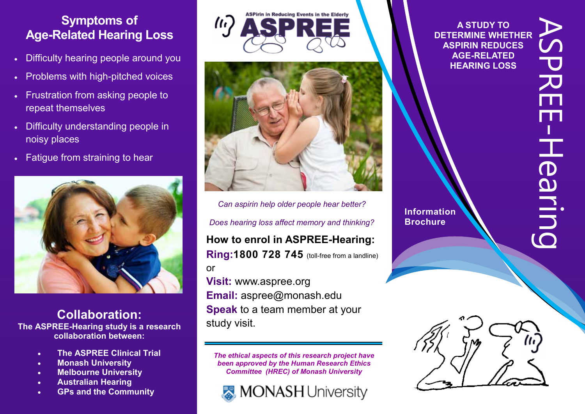#### **Symptoms of Age-Related Hearing Loss Symptoms of Symptoms of Symptoms of Age-Related Hearing Loss Age-Related Hearing Loss Age-Related Hearing Loss Symptoms of Age-Related Hearing Loss Symptoms of Age-Related Hearing Loss Symptoms of Age-Related Hearing Loss**

- Difficulty hearing people around you Difficulty hearing people around you Difficulty hearing people around you Difficulty hearing people around you **•** Difficulty hearing people around you Difficulty hearing people around you
- Problems with high-pitched voices Problems with high-pitched voices Problems with high-pitched voices Problems with high-pitched voices  $\frac{m}{2}$  around  $\frac{m}{2}$  become voices Problems with high-pitched voices
- Frustration from asking people to repeat themselves • Frustration from asking people to repeat themselves repeat themselves repeat themselves repeat themselves repeat themselves Frustration from asking people to Frustration from asking people to
- Difficulty understanding people in noisy places • Difficulty understanding people in noisy places noisy places noisy places noisy places  $\overline{\text{BCES}}$  and  $\overline{\text{DCPS}}$  in the people in the people in the people in Difficulty understanding people in Dimodity din
- Fatigue from straining to hear Fatigue from straining to hear Fatigue from straining to hear Fatigue from straining to hear Fatigue from straining to hear noisy places Fatigue from straining to hear



#### **Collaboration: The ASPREE-Hearing study is a research collaboration between: Collaboration: Collaboration: Collaboration: The ASPREE-Hearing study is a research The ASPREE-Hearing study is a research The ASPREE-Hearing study is a research collaboration between: collaboration between: collaboration between: Collaboration: The ASPREE-Hearing study is a research The ASPREE-Hearing study is a research The ASPREE-Hearing study is a research collaboration between: The ASPREE-Hearing study is a research collaboration between: Collaboration: Collaboration: The Assumption** Construction *Mondroid* School **collaboration between: collaboration between:**

- **The ASPREE Clinical Trial**
- **The ASP REE Clinical Trial**
- **Example 2018**<br> **Example 2019**<br> **Example 2019**<br> **Example 2019**<br> **Example 2019**
- **Melbourne University Australian Hearing Australian Hearing Australian Hearing Melbourne University Hearing Australia Hearing Australia**
- **Australian Hearing GPs and the Community GPs and the Community GPs and the Community Hearing Australia GPs and the Community GPs and the Community GPs and the Community GPs and the Community**





**How to enrol in ASPREE-Hearing: How to enrol in ASPREE-Hearing: Ring:1800 728 745** (toll-free from a landline) Can aspirin help older people hear better? Does hearing loss affect memory and thinking? Ring: 1800 728 745 (toll-free from a landline) How to enrol in ASPREE-Hearing: or or or or or **Visit:** www.aspree.org **RIOUSE 740** (toll-free from a landline) *Does hearing loss affect memory and thinking?*  **Ring:1800 728 745** (toll-free from a landline) *Can aspirin help older people hear better? Does hearing loss affect memory and thinking?* 

**Visi Email:** aspree@monash.ed **peak** to a team member at your **Speak at the speak of the speak of the speak of the speak of the speak of the speak of the speak of the speak of the speak of the speak of the speak of the speak of the speak of the speak of the speak of the speak of the Speak** to a team member at w **Speak at the visit** study visit study visit. **Visit:** www.aspree.org **Visit:** www.aspree.org **Visit:** www.aspree.org **Visit:** www.aspree.org **Email:** aspree@monash.edu or **Email:** aspree@monash.edu **Email:** aspree@monash.edu **Email:** aspree@monash.edu **Email:** aspree@monash.edu **Speak** to a team member at your **Speak** to a team member at your study visit. study visit. study visit. **Speak** to a team member at your study visit. *The ethical aspects of this research project have*  study visit. study visit.  $\frac{1}{2}$ shoot to be **Visit:** www.aspree.org **Email:** aspree@monash.edu **Email:** aspree@monash.edu **Speak** to a team member at your **Speak** to a team member at your **Visit:** www.aspree.org

studie visit visit visit visit visit visit visit visit visit visit visit visit visit visit visit visit visit v<br>Studie visit visit visit visit visit visit visit visit visit visit visit visit visit visit visit visit visit v

*The ethical aspects of this research project have been approved by the Human Research Ethics*  been approved by the Human Research Ethics *Committee (HREC) of Monash University Committee (HREC) of Monash University Committee (HREC) of Monash University Committee (HREC) of Monash University The ethical aspects of this research project have been approved by the Human Research Ethics*  The ethical aspects of this research project hav

*Committee (HREC) of Monash University*



**A STUDY TO DETERMINE WHETHER ASPIRIN REDUCES AGE-RELATED HEARING LOSS**

**Information Brochure**

**Information**